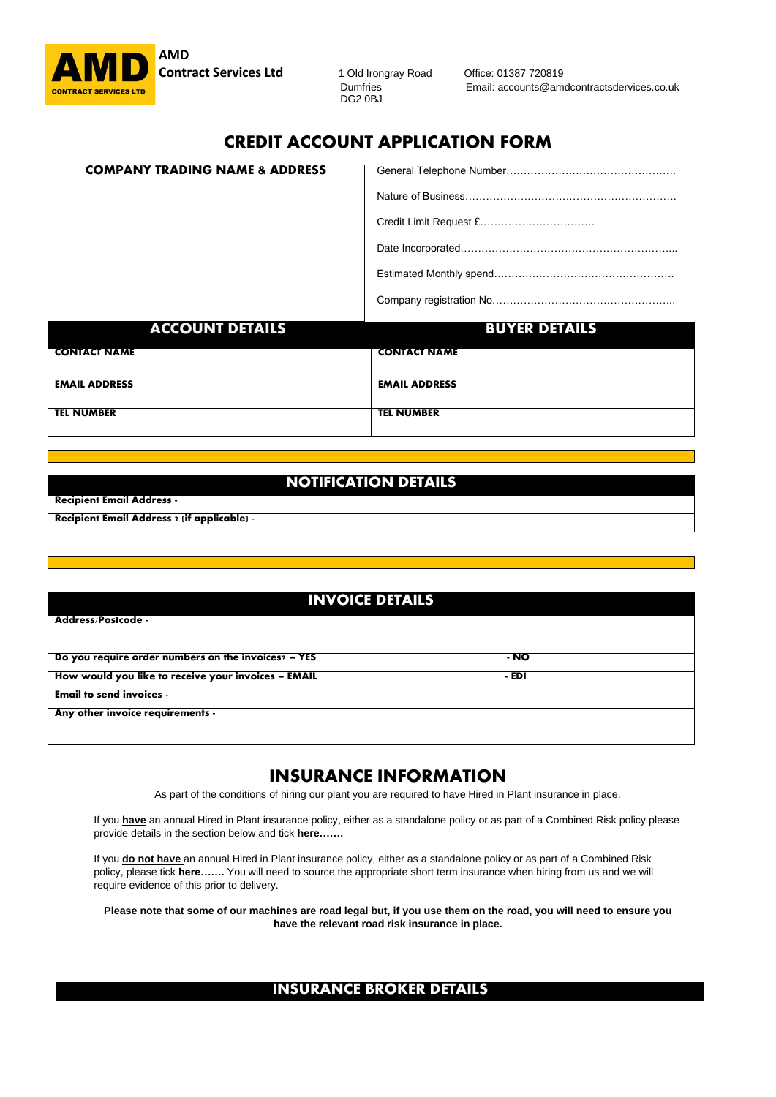**AMD Contract Services Ltd** 1 Old Irongray Road Office: 01387 720819<br>Dumfries Email: accounts@am

DG2 0BJ

**CONTRACT SERVICES LTD**<br> **CONTRACT SERVICES LTD**<br> **CONTRACT SERVICES LTD** 

# CREDIT ACCOUNT APPLICATION FORM

| <b>COMPANY TRADING NAME &amp; ADDRESS</b> |                      |
|-------------------------------------------|----------------------|
|                                           |                      |
|                                           |                      |
|                                           |                      |
|                                           |                      |
|                                           |                      |
| <b>ACCOUNT DETAILS</b>                    | <b>BUYER DETAILS</b> |
| <b>CONTACT NAME</b>                       | <b>CONTACT NAME</b>  |
| <b>EMAIL ADDRESS</b>                      | <b>EMAIL ADDRESS</b> |
| <b>TEL NUMBER</b>                         | <b>TEL NUMBER</b>    |

## NOTIFICATION DETAILS

| <b>Recipient Email Address -</b>                 |
|--------------------------------------------------|
| <b>Recipient Email Address 2 (if applicable)</b> |

## **INVOICE DETAILS**

| Address/Postcode -                                  |       |  |
|-----------------------------------------------------|-------|--|
| Do you require order numbers on the invoices? - YES | - NO  |  |
| How would you like to receive your invoices - EMAIL | - EDI |  |
| <b>Email to send invoices -</b>                     |       |  |
| Any other invoice requirements -                    |       |  |
|                                                     |       |  |

# INSURANCE INFORMATION

As part of the conditions of hiring our plant you are required to have Hired in Plant insurance in place.

If you **have** an annual Hired in Plant insurance policy, either as a standalone policy or as part of a Combined Risk policy please provide details in the section below and tick **here…….**

If you **do not have** an annual Hired in Plant insurance policy, either as a standalone policy or as part of a Combined Risk policy, please tick **here…….** You will need to source the appropriate short term insurance when hiring from us and we will require evidence of this prior to delivery.

**Please note that some of our machines are road legal but, if you use them on the road, you will need to ensure you have the relevant road risk insurance in place.**

## **INSURANCE BROKER DETAILS**